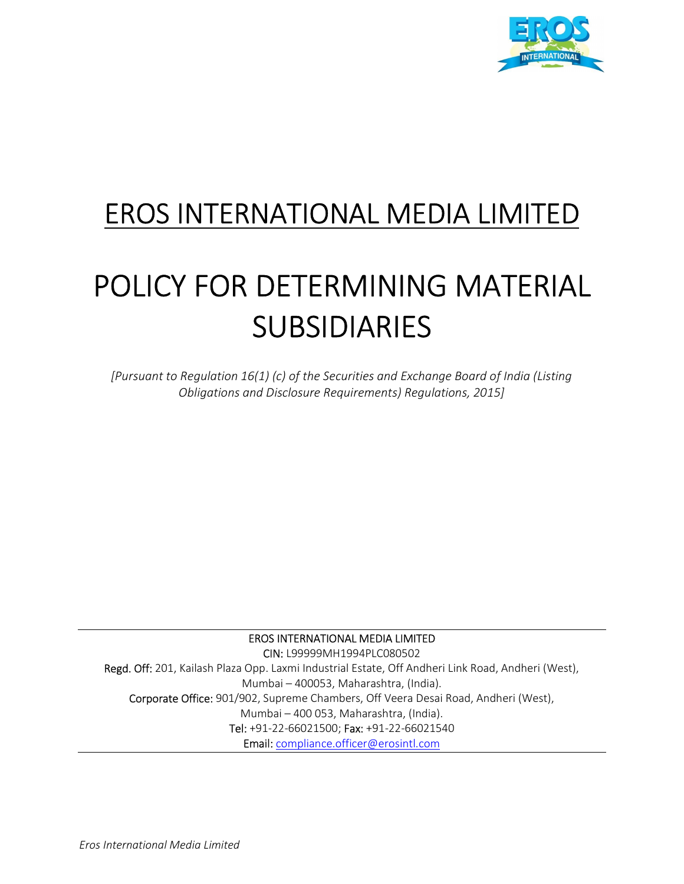

# EROS INTERNATIONAL MEDIA LIMITED

# POLICY FOR DETERMINING MATERIAL SUBSIDIARIES

[Pursuant to Regulation 16(1) (c) of the Securities and Exchange Board of India (Listing Obligations and Disclosure Requirements) Regulations, 2015]

# EROS INTERNATIONAL MEDIA LIMITED CIN: L99999MH1994PLC080502 Regd. Off: 201, Kailash Plaza Opp. Laxmi Industrial Estate, Off Andheri Link Road, Andheri (West), Mumbai – 400053, Maharashtra, (India). Corporate Office: 901/902, Supreme Chambers, Off Veera Desai Road, Andheri (West), Mumbai – 400 053, Maharashtra, (India). Tel: +91-22-66021500; Fax: +91-22-66021540 Email: compliance.officer@erosintl.com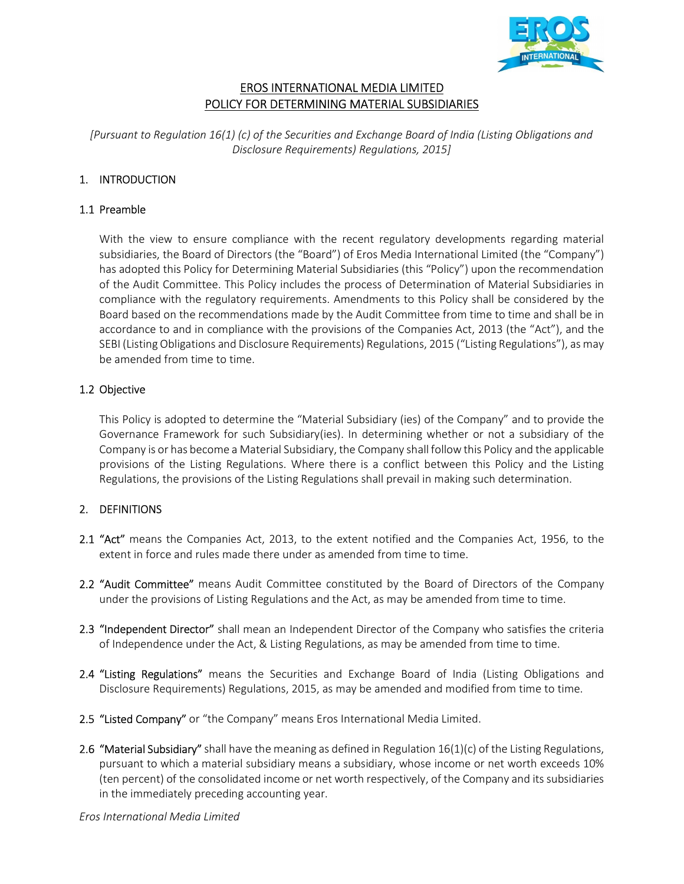

# EROS INTERNATIONAL MEDIA LIMITED POLICY FOR DETERMINING MATERIAL SUBSIDIARIES

[Pursuant to Regulation 16(1) (c) of the Securities and Exchange Board of India (Listing Obligations and Disclosure Requirements) Regulations, 2015]

# 1. INTRODUCTION

#### 1.1 Preamble

With the view to ensure compliance with the recent regulatory developments regarding material subsidiaries, the Board of Directors (the "Board") of Eros Media International Limited (the "Company") has adopted this Policy for Determining Material Subsidiaries (this "Policy") upon the recommendation of the Audit Committee. This Policy includes the process of Determination of Material Subsidiaries in compliance with the regulatory requirements. Amendments to this Policy shall be considered by the Board based on the recommendations made by the Audit Committee from time to time and shall be in accordance to and in compliance with the provisions of the Companies Act, 2013 (the "Act"), and the SEBI (Listing Obligations and Disclosure Requirements) Regulations, 2015 ("Listing Regulations"), as may be amended from time to time.

#### 1.2 Objective

This Policy is adopted to determine the "Material Subsidiary (ies) of the Company" and to provide the Governance Framework for such Subsidiary(ies). In determining whether or not a subsidiary of the Company is or has become a Material Subsidiary, the Company shall follow this Policy and the applicable provisions of the Listing Regulations. Where there is a conflict between this Policy and the Listing Regulations, the provisions of the Listing Regulations shall prevail in making such determination.

#### 2. DEFINITIONS

- 2.1 "Act" means the Companies Act, 2013, to the extent notified and the Companies Act, 1956, to the extent in force and rules made there under as amended from time to time.
- 2.2 "Audit Committee" means Audit Committee constituted by the Board of Directors of the Company under the provisions of Listing Regulations and the Act, as may be amended from time to time.
- 2.3 "Independent Director" shall mean an Independent Director of the Company who satisfies the criteria of Independence under the Act, & Listing Regulations, as may be amended from time to time.
- 2.4 "Listing Regulations" means the Securities and Exchange Board of India (Listing Obligations and Disclosure Requirements) Regulations, 2015, as may be amended and modified from time to time.
- 2.5 "Listed Company" or "the Company" means Eros International Media Limited.
- 2.6 "Material Subsidiary" shall have the meaning as defined in Regulation  $16(1)(c)$  of the Listing Regulations, pursuant to which a material subsidiary means a subsidiary, whose income or net worth exceeds 10% (ten percent) of the consolidated income or net worth respectively, of the Company and its subsidiaries in the immediately preceding accounting year.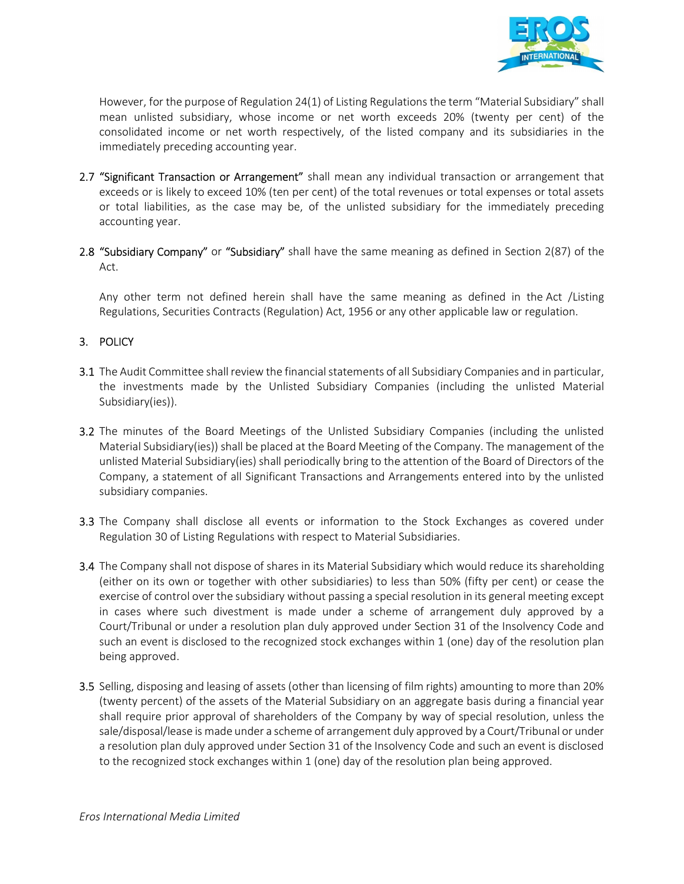

However, for the purpose of Regulation 24(1) of Listing Regulations the term "Material Subsidiary" shall mean unlisted subsidiary, whose income or net worth exceeds 20% (twenty per cent) of the consolidated income or net worth respectively, of the listed company and its subsidiaries in the immediately preceding accounting year.

- 2.7 "Significant Transaction or Arrangement" shall mean any individual transaction or arrangement that exceeds or is likely to exceed 10% (ten per cent) of the total revenues or total expenses or total assets or total liabilities, as the case may be, of the unlisted subsidiary for the immediately preceding accounting year.
- 2.8 "Subsidiary Company" or "Subsidiary" shall have the same meaning as defined in Section 2(87) of the Act.

Any other term not defined herein shall have the same meaning as defined in the Act /Listing Regulations, Securities Contracts (Regulation) Act, 1956 or any other applicable law or regulation.

#### 3. POLICY

- 3.1 The Audit Committee shall review the financial statements of all Subsidiary Companies and in particular, the investments made by the Unlisted Subsidiary Companies (including the unlisted Material Subsidiary(ies)).
- 3.2 The minutes of the Board Meetings of the Unlisted Subsidiary Companies (including the unlisted Material Subsidiary(ies)) shall be placed at the Board Meeting of the Company. The management of the unlisted Material Subsidiary(ies) shall periodically bring to the attention of the Board of Directors of the Company, a statement of all Significant Transactions and Arrangements entered into by the unlisted subsidiary companies.
- 3.3 The Company shall disclose all events or information to the Stock Exchanges as covered under Regulation 30 of Listing Regulations with respect to Material Subsidiaries.
- **3.4** The Company shall not dispose of shares in its Material Subsidiary which would reduce its shareholding (either on its own or together with other subsidiaries) to less than 50% (fifty per cent) or cease the exercise of control over the subsidiary without passing a special resolution in its general meeting except in cases where such divestment is made under a scheme of arrangement duly approved by a Court/Tribunal or under a resolution plan duly approved under Section 31 of the Insolvency Code and such an event is disclosed to the recognized stock exchanges within 1 (one) day of the resolution plan being approved.
- 3.5 Selling, disposing and leasing of assets (other than licensing of film rights) amounting to more than 20% (twenty percent) of the assets of the Material Subsidiary on an aggregate basis during a financial year shall require prior approval of shareholders of the Company by way of special resolution, unless the sale/disposal/lease is made under a scheme of arrangement duly approved by a Court/Tribunal or under a resolution plan duly approved under Section 31 of the Insolvency Code and such an event is disclosed to the recognized stock exchanges within 1 (one) day of the resolution plan being approved.